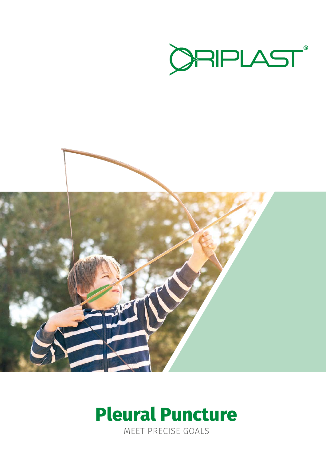



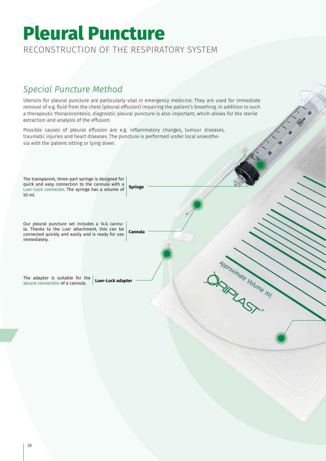# Pleural Puncture **Pleural Puncture** RECONSTRUCTION OF THE RESPIRATORY SYSTEM

## *Special Puncture Method*

Utensils for pleural puncture are particularly vital in emergency medicine: They are used for immediate removal of e.g. fluid from the chest (pleural effusion) impairing the patient's breathing. In addition to such a therapeutic thoracocentesis, diagnostic pleural puncture is also important, which allows for the sterile extraction and analysis of the effusion.

Possible causes of pleural effusion are e.g. inflammatory changes, tumour diseases, traumatic injuries and heart diseases. The puncture is performed under local anaesthesia with the patient sitting or lying down.

**Cannula**

Monorimate Volume m!

The transparent, three-part syringe is designed for quick and easy connection to the cannula with a Luer-Lock connector. The syringe has a volume of 50 ml. **Syringe**

Our pleural puncture set includes a 14G cannula. Thanks to the Luer attachment, this can be connected quickly and easily and is ready for use immediately.

The adapter is suitable for the secure connection of a cannula. **Luer-Lock adapter**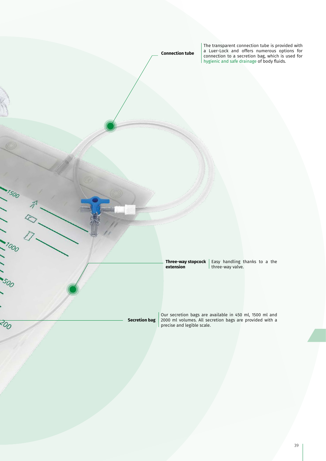